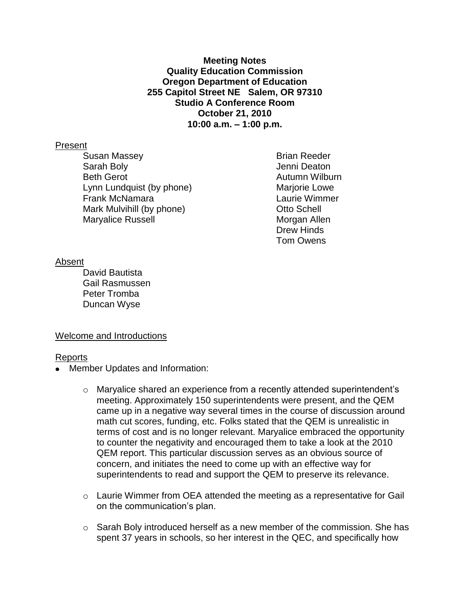**Meeting Notes Quality Education Commission Oregon Department of Education 255 Capitol Street NE Salem, OR 97310 Studio A Conference Room October 21, 2010 10:00 a.m. – 1:00 p.m.**

### Present

Susan Massey **Brian Reeder** Sarah Boly **Garah Boly Jenni Deaton** Beth Gerot **Autumn Wilburn** Lynn Lundquist (by phone) Marjorie Lowe Frank McNamara Laurie Wimmer Mark Mulvihill (by phone) Changes Mark Mulvihill (by phone) Maryalice Russell Maryalice Russell

Drew Hinds Tom Owens

### Absent

David Bautista Gail Rasmussen Peter Tromba Duncan Wyse

## Welcome and Introductions

### Reports

- Member Updates and Information:
	- $\circ$  Maryalice shared an experience from a recently attended superintendent's meeting. Approximately 150 superintendents were present, and the QEM came up in a negative way several times in the course of discussion around math cut scores, funding, etc. Folks stated that the QEM is unrealistic in terms of cost and is no longer relevant. Maryalice embraced the opportunity to counter the negativity and encouraged them to take a look at the 2010 QEM report. This particular discussion serves as an obvious source of concern, and initiates the need to come up with an effective way for superintendents to read and support the QEM to preserve its relevance.
	- $\circ$  Laurie Wimmer from OEA attended the meeting as a representative for Gail on the communication's plan.
	- o Sarah Boly introduced herself as a new member of the commission. She has spent 37 years in schools, so her interest in the QEC, and specifically how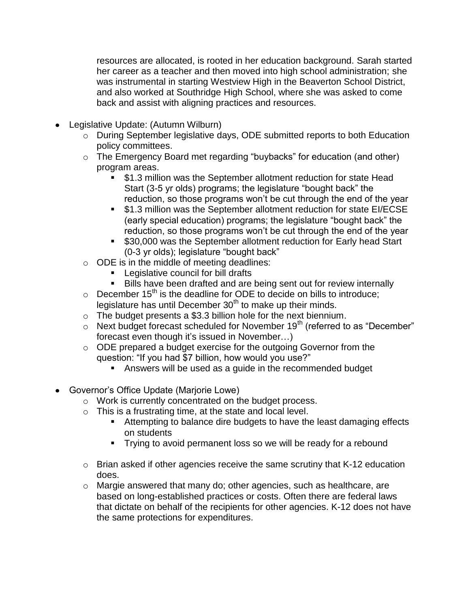resources are allocated, is rooted in her education background. Sarah started her career as a teacher and then moved into high school administration; she was instrumental in starting Westview High in the Beaverton School District, and also worked at Southridge High School, where she was asked to come back and assist with aligning practices and resources.

- Legislative Update: (Autumn Wilburn)
	- o During September legislative days, ODE submitted reports to both Education policy committees.
	- o The Emergency Board met regarding "buybacks" for education (and other) program areas.
		- \$1.3 million was the September allotment reduction for state Head Start (3-5 yr olds) programs; the legislature "bought back" the reduction, so those programs won't be cut through the end of the year
		- **51.3 million was the September allotment reduction for state EI/ECSE** (early special education) programs; the legislature "bought back" the reduction, so those programs won't be cut through the end of the year
		- \$30,000 was the September allotment reduction for Early head Start (0-3 yr olds); legislature "bought back"
	- o ODE is in the middle of meeting deadlines:
		- Legislative council for bill drafts
		- Bills have been drafted and are being sent out for review internally
	- $\circ$  December 15<sup>th</sup> is the deadline for ODE to decide on bills to introduce; legislature has until December  $30<sup>th</sup>$  to make up their minds.
	- o The budget presents a \$3.3 billion hole for the next biennium.
	- $\circ$  Next budget forecast scheduled for November 19<sup>th</sup> (referred to as "December" forecast even though it's issued in November…)
	- o ODE prepared a budget exercise for the outgoing Governor from the question: "If you had \$7 billion, how would you use?"
		- Answers will be used as a guide in the recommended budget
- Governor's Office Update (Marjorie Lowe)
	- o Work is currently concentrated on the budget process.
	- o This is a frustrating time, at the state and local level.
		- Attempting to balance dire budgets to have the least damaging effects on students
		- **Trying to avoid permanent loss so we will be ready for a rebound**
	- o Brian asked if other agencies receive the same scrutiny that K-12 education does.
	- o Margie answered that many do; other agencies, such as healthcare, are based on long-established practices or costs. Often there are federal laws that dictate on behalf of the recipients for other agencies. K-12 does not have the same protections for expenditures.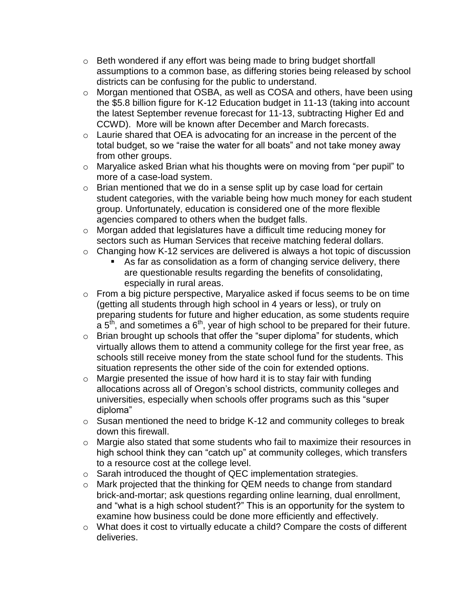- o Beth wondered if any effort was being made to bring budget shortfall assumptions to a common base, as differing stories being released by school districts can be confusing for the public to understand.
- o Morgan mentioned that OSBA, as well as COSA and others, have been using the \$5.8 billion figure for K-12 Education budget in 11-13 (taking into account the latest September revenue forecast for 11-13, subtracting Higher Ed and CCWD). More will be known after December and March forecasts.
- o Laurie shared that OEA is advocating for an increase in the percent of the total budget, so we "raise the water for all boats" and not take money away from other groups.
- o Maryalice asked Brian what his thoughts were on moving from "per pupil" to more of a case-load system.
- o Brian mentioned that we do in a sense split up by case load for certain student categories, with the variable being how much money for each student group. Unfortunately, education is considered one of the more flexible agencies compared to others when the budget falls.
- o Morgan added that legislatures have a difficult time reducing money for sectors such as Human Services that receive matching federal dollars.
- o Changing how K-12 services are delivered is always a hot topic of discussion
	- As far as consolidation as a form of changing service delivery, there are questionable results regarding the benefits of consolidating, especially in rural areas.
- o From a big picture perspective, Maryalice asked if focus seems to be on time (getting all students through high school in 4 years or less), or truly on preparing students for future and higher education, as some students require  $a$  5<sup>th</sup>, and sometimes a 6<sup>th</sup>, year of high school to be prepared for their future.
- o Brian brought up schools that offer the "super diploma" for students, which virtually allows them to attend a community college for the first year free, as schools still receive money from the state school fund for the students. This situation represents the other side of the coin for extended options.
- $\circ$  Margie presented the issue of how hard it is to stay fair with funding allocations across all of Oregon's school districts, community colleges and universities, especially when schools offer programs such as this "super diploma"
- o Susan mentioned the need to bridge K-12 and community colleges to break down this firewall.
- o Margie also stated that some students who fail to maximize their resources in high school think they can "catch up" at community colleges, which transfers to a resource cost at the college level.
- o Sarah introduced the thought of QEC implementation strategies.
- o Mark projected that the thinking for QEM needs to change from standard brick-and-mortar; ask questions regarding online learning, dual enrollment, and "what is a high school student?" This is an opportunity for the system to examine how business could be done more efficiently and effectively.
- o What does it cost to virtually educate a child? Compare the costs of different deliveries.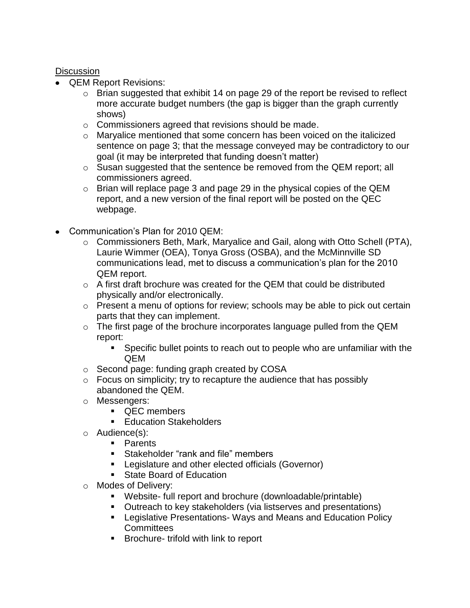# **Discussion**

- QEM Report Revisions:
	- o Brian suggested that exhibit 14 on page 29 of the report be revised to reflect more accurate budget numbers (the gap is bigger than the graph currently shows)
	- o Commissioners agreed that revisions should be made.
	- $\circ$  Maryalice mentioned that some concern has been voiced on the italicized sentence on page 3; that the message conveyed may be contradictory to our goal (it may be interpreted that funding doesn't matter)
	- $\circ$  Susan suggested that the sentence be removed from the QEM report; all commissioners agreed.
	- o Brian will replace page 3 and page 29 in the physical copies of the QEM report, and a new version of the final report will be posted on the QEC webpage.
- Communication's Plan for 2010 QEM:
	- o Commissioners Beth, Mark, Maryalice and Gail, along with Otto Schell (PTA), Laurie Wimmer (OEA), Tonya Gross (OSBA), and the McMinnville SD communications lead, met to discuss a communication's plan for the 2010 QEM report.
	- $\circ$  A first draft brochure was created for the QEM that could be distributed physically and/or electronically.
	- o Present a menu of options for review; schools may be able to pick out certain parts that they can implement.
	- o The first page of the brochure incorporates language pulled from the QEM report:
		- Specific bullet points to reach out to people who are unfamiliar with the QEM
	- o Second page: funding graph created by COSA
	- $\circ$  Focus on simplicity; try to recapture the audience that has possibly abandoned the QEM.
	- o Messengers:
		- **OEC** members
		- **Education Stakeholders**
	- o Audience(s):
		- **Parents**
		- **Stakeholder "rank and file" members**
		- **EXECTED EXECTED LEGISLANCE EXECTED** Legislature and other elected officials (Governor)
		- **State Board of Education**
	- o Modes of Delivery:
		- Website- full report and brochure (downloadable/printable)
		- Outreach to key stakeholders (via listserves and presentations)
		- Legislative Presentations- Ways and Means and Education Policy **Committees**
		- **Brochure- trifold with link to report**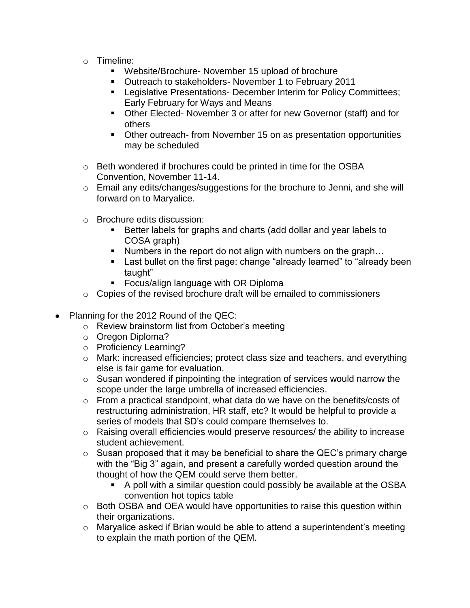- o Timeline:
	- Website/Brochure- November 15 upload of brochure
	- **Dutreach to stakeholders- November 1 to February 2011**
	- **EXECT** Legislative Presentations- December Interim for Policy Committees; Early February for Ways and Means
	- Other Elected- November 3 or after for new Governor (staff) and for others
	- Other outreach- from November 15 on as presentation opportunities may be scheduled
- o Beth wondered if brochures could be printed in time for the OSBA Convention, November 11-14.
- o Email any edits/changes/suggestions for the brochure to Jenni, and she will forward on to Maryalice.
- o Brochure edits discussion:
	- Better labels for graphs and charts (add dollar and year labels to COSA graph)
	- Numbers in the report do not align with numbers on the graph...
	- Last bullet on the first page: change "already learned" to "already been taught"
	- **Focus/align language with OR Diploma**
- $\circ$  Copies of the revised brochure draft will be emailed to commissioners
- Planning for the 2012 Round of the QEC:
	- o Review brainstorm list from October's meeting
	- o Oregon Diploma?
	- o Proficiency Learning?
	- o Mark: increased efficiencies; protect class size and teachers, and everything else is fair game for evaluation.
	- o Susan wondered if pinpointing the integration of services would narrow the scope under the large umbrella of increased efficiencies.
	- $\circ$  From a practical standpoint, what data do we have on the benefits/costs of restructuring administration, HR staff, etc? It would be helpful to provide a series of models that SD's could compare themselves to.
	- o Raising overall efficiencies would preserve resources/ the ability to increase student achievement.
	- $\circ$  Susan proposed that it may be beneficial to share the QEC's primary charge with the "Big 3" again, and present a carefully worded question around the thought of how the QEM could serve them better.
		- A poll with a similar question could possibly be available at the OSBA convention hot topics table
	- o Both OSBA and OEA would have opportunities to raise this question within their organizations.
	- o Maryalice asked if Brian would be able to attend a superintendent's meeting to explain the math portion of the QEM.